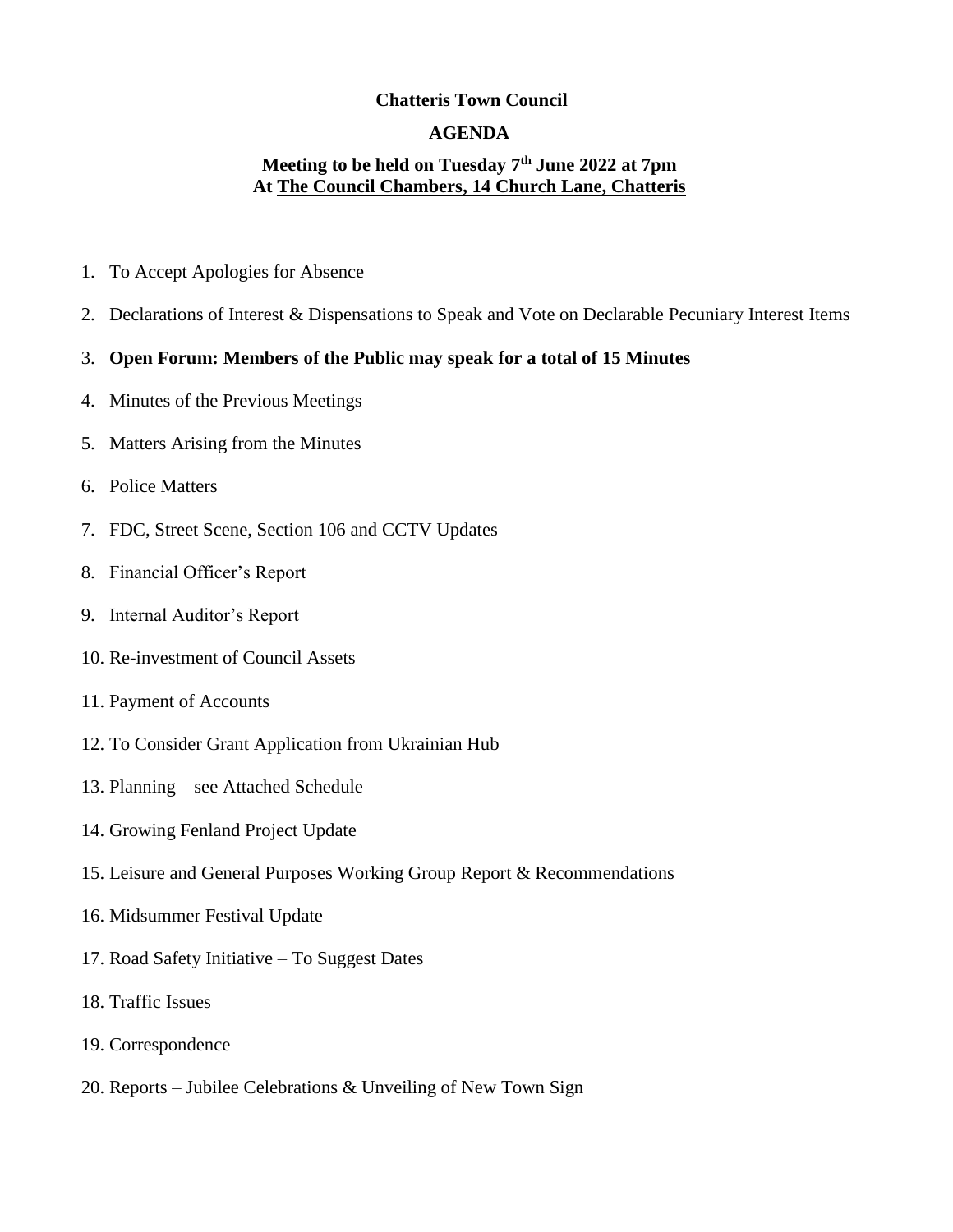### **Chatteris Town Council**

### **AGENDA**

## **Meeting to be held on Tuesday 7 th June 2022 at 7pm At The Council Chambers, 14 Church Lane, Chatteris**

- 1. To Accept Apologies for Absence
- 2. Declarations of Interest & Dispensations to Speak and Vote on Declarable Pecuniary Interest Items

### 3. **Open Forum: Members of the Public may speak for a total of 15 Minutes**

- 4. Minutes of the Previous Meetings
- 5. Matters Arising from the Minutes
- 6. Police Matters
- 7. FDC, Street Scene, Section 106 and CCTV Updates
- 8. Financial Officer's Report
- 9. Internal Auditor's Report
- 10. Re-investment of Council Assets
- 11. Payment of Accounts
- 12. To Consider Grant Application from Ukrainian Hub
- 13. Planning see Attached Schedule
- 14. Growing Fenland Project Update
- 15. Leisure and General Purposes Working Group Report & Recommendations
- 16. Midsummer Festival Update
- 17. Road Safety Initiative To Suggest Dates
- 18. Traffic Issues
- 19. Correspondence
- 20. Reports Jubilee Celebrations & Unveiling of New Town Sign